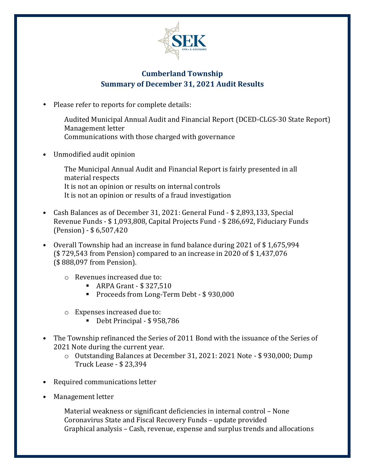

## **Cumberland Township Summary of December 31, 2021 Audit Results**

- Please refer to reports for complete details:
	- Audited Municipal Annual Audit and Financial Report (DCED-CLGS-30 State Report) Management letter Communications with those charged with governance
- Unmodified audit opinion
	- The Municipal Annual Audit and Financial Report is fairly presented in all material respects It is not an opinion or results on internal controls It is not an opinion or results of a fraud investigation
- Cash Balances as of December 31, 2021: General Fund \$ 2,893,133, Special Revenue Funds - \$ 1,093,808, Capital Projects Fund - \$ 286,692, Fiduciary Funds (Pension) - \$ 6,507,420
- Overall Township had an increase in fund balance during 2021 of \$ 1,675,994 (\$ 729,543 from Pension) compared to an increase in 2020 of \$ 1,437,076 (\$ 888,097 from Pension).
	- o Revenues increased due to:
		- ARPA Grant \$ 327,510
		- Proceeds from Long-Term Debt \$930,000
	- o Expenses increased due to:
		- Debt Principal \$958,786
- The Township refinanced the Series of 2011 Bond with the issuance of the Series of 2021 Note during the current year.
	- o Outstanding Balances at December 31, 2021: 2021 Note \$ 930,000; Dump Truck Lease - \$ 23,394
- Required communications letter
- Management letter

Material weakness or significant deficiencies in internal control – None Coronavirus State and Fiscal Recovery Funds – update provided Graphical analysis – Cash, revenue, expense and surplus trends and allocations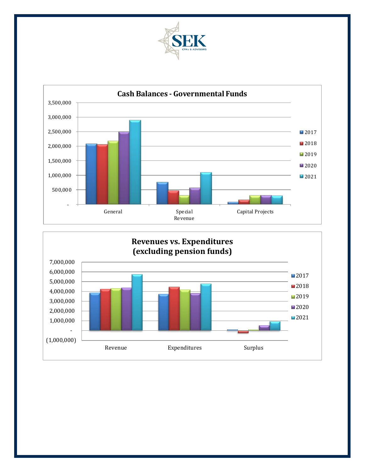



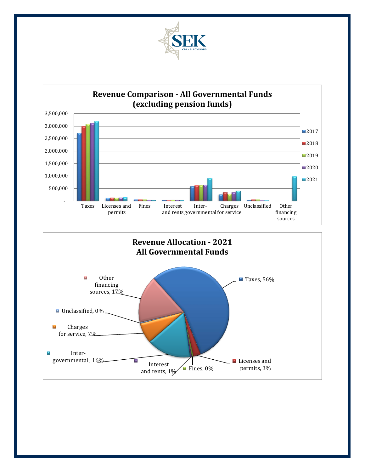



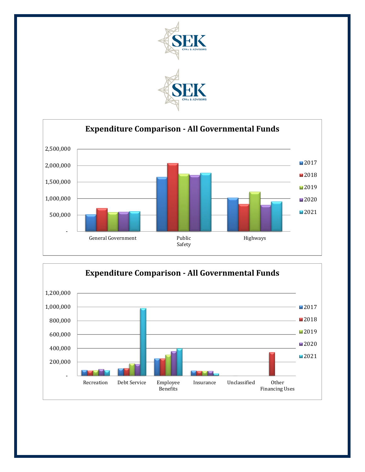



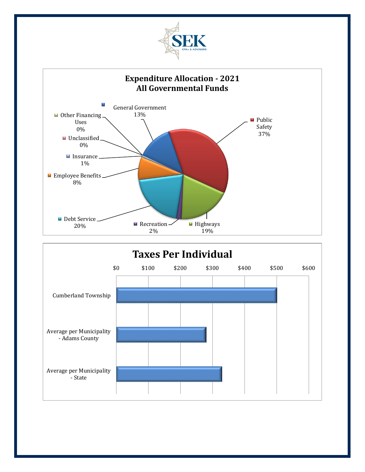



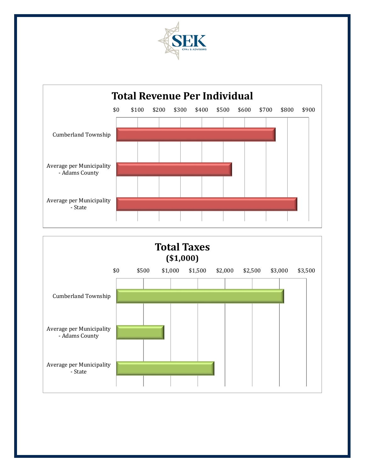